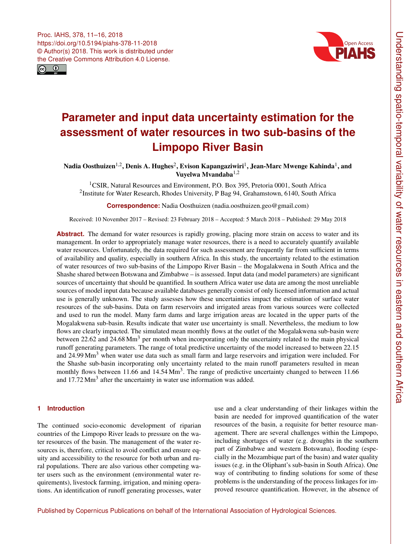<span id="page-0-1"></span>



# **Parameter and input data uncertainty estimation for the assessment of water resources in two sub-basins of the Limpopo River Basin**

Nadia Oosthuizen $^{1,2}$  $^{1,2}$  $^{1,2}$ , Denis A. Hughes $^2$  $^2$ , Evison Kapangaziwiri $^1$  $^1$ , Jean-Marc Mwenge Kahinda $^1$ , and Vuyelwa Mvandaba<sup>[1,2](#page-0-0)</sup>

<sup>1</sup>CSIR, Natural Resources and Environment, P.O. Box 395, Pretoria 0001, South Africa <sup>2</sup>Institute for Water Research, Rhodes University, P Bag 94, Grahamstown, 6140, South Africa

**Correspondence:** Nadia Oosthuizen (nadia.oosthuizen.geo@gmail.com)

Received: 10 November 2017 – Revised: 23 February 2018 – Accepted: 5 March 2018 – Published: 29 May 2018

Abstract. The demand for water resources is rapidly growing, placing more strain on access to water and its management. In order to appropriately manage water resources, there is a need to accurately quantify available water resources. Unfortunately, the data required for such assessment are frequently far from sufficient in terms of availability and quality, especially in southern Africa. In this study, the uncertainty related to the estimation of water resources of two sub-basins of the Limpopo River Basin – the Mogalakwena in South Africa and the Shashe shared between Botswana and Zimbabwe – is assessed. Input data (and model parameters) are significant sources of uncertainty that should be quantified. In southern Africa water use data are among the most unreliable sources of model input data because available databases generally consist of only licensed information and actual use is generally unknown. The study assesses how these uncertainties impact the estimation of surface water resources of the sub-basins. Data on farm reservoirs and irrigated areas from various sources were collected and used to run the model. Many farm dams and large irrigation areas are located in the upper parts of the Mogalakwena sub-basin. Results indicate that water use uncertainty is small. Nevertheless, the medium to low flows are clearly impacted. The simulated mean monthly flows at the outlet of the Mogalakwena sub-basin were between 22.62 and 24.68 Mm<sup>3</sup> per month when incorporating only the uncertainty related to the main physical runoff generating parameters. The range of total predictive uncertainty of the model increased to between 22.15 and 24.99 Mm<sup>3</sup> when water use data such as small farm and large reservoirs and irrigation were included. For the Shashe sub-basin incorporating only uncertainty related to the main runoff parameters resulted in mean monthly flows between 11.66 and 14.54  $\text{Mm}^3$ . The range of predictive uncertainty changed to between 11.66 and  $17.72$  Mm<sup>3</sup> after the uncertainty in water use information was added.

# <span id="page-0-0"></span>**1 Introduction**

The continued socio-economic development of riparian countries of the Limpopo River leads to pressure on the water resources of the basin. The management of the water resources is, therefore, critical to avoid conflict and ensure equity and accessibility to the resource for both urban and rural populations. There are also various other competing water users such as the environment (environmental water requirements), livestock farming, irrigation, and mining operations. An identification of runoff generating processes, water use and a clear understanding of their linkages within the basin are needed for improved quantification of the water resources of the basin, a requisite for better resource management. There are several challenges within the Limpopo, including shortages of water (e.g. droughts in the southern part of Zimbabwe and western Botswana), flooding (especially in the Mozambique part of the basin) and water quality issues (e.g. in the Oliphant's sub-basin in South Africa). One way of contributing to finding solutions for some of these problems is the understanding of the process linkages for improved resource quantification. However, in the absence of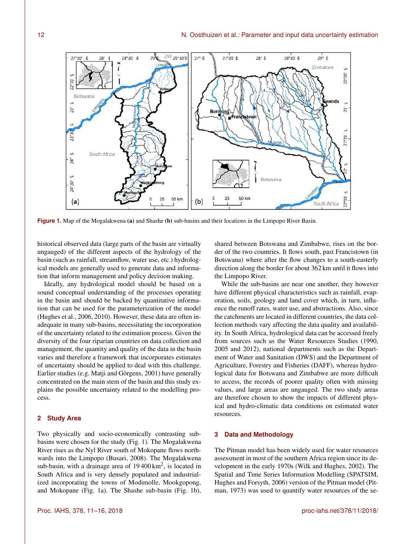

**Figure 1.** Map of the Mogalakwena (a) and Shashe (b) sub-basins and their locations in the Limpopo River Basin.

historical observed data (large parts of the basin are virtually ungauged) of the different aspects of the hydrology of the basin (such as rainfall, streamflow, water use, etc.) hydrological models are generally used to generate data and information that inform management and policy decision making.

Ideally, any hydrological model should be based on a sound conceptual understanding of the processes operating in the basin and should be backed by quantitative information that can be used for the parameterization of the model (Hughes et al., 2006, 2010). However, these data are often inadequate in many sub-basins, necessitating the incorporation of the uncertainty related to the estimation process. Given the diversity of the four riparian countries on data collection and management, the quantity and quality of the data in the basin varies and therefore a framework that incorporates estimates of uncertainty should be applied to deal with this challenge. Earlier studies (e.g. Matji and Görgens, 2001) have generally concentrated on the main stem of the basin and this study explains the possible uncertainty related to the modelling process.

#### **2 Study Area**

Two physically and socio-economically contrasting subbasins were chosen for the study (Fig. 1). The Mogalakwena River rises as the Nyl River south of Mokopane flows northwards into the Limpopo (Busari, 2008). The Mogalakwena sub-basin, with a drainage area of  $19400 \text{ km}^2$ , is located in South Africa and is very densely populated and industrialized incorporating the towns of Modimolle, Mookgopong, and Mokopane (Fig. 1a). The Shashe sub-basin (Fig. 1b), shared between Botswana and Zimbabwe, rises on the border of the two countries. It flows south, past Francistown (in Botswana) where after the flow changes to a south-easterly direction along the border for about 362 km until it flows into the Limpopo River.

While the sub-basins are near one another, they however have different physical characteristics such as rainfall, evaporation, soils, geology and land cover which, in turn, influence the runoff rates, water use, and abstractions. Also, since the catchments are located in different countries, the data collection methods vary affecting the data quality and availability. In South Africa, hydrological data can be accessed freely from sources such as the Water Resources Studies (1990, 2005 and 2012), national departments such as the Department of Water and Sanitation (DWS) and the Department of Agriculture, Forestry and Fisheries (DAFF), whereas hydrological data for Botswana and Zimbabwe are more difficult to access, the records of poorer quality often with missing values, and large areas are ungauged. The two study areas are therefore chosen to show the impacts of different physical and hydro-climatic data conditions on estimated water resources.

### **3 Data and Methodology**

The Pitman model has been widely used for water resources assessment in most of the southern Africa region since its development in the early 1970s (Wilk and Hughes, 2002). The Spatial and Time Series Information Modelling (SPATSIM, Hughes and Forsyth, 2006) version of the Pitman model (Pitman, 1973) was used to quantify water resources of the se-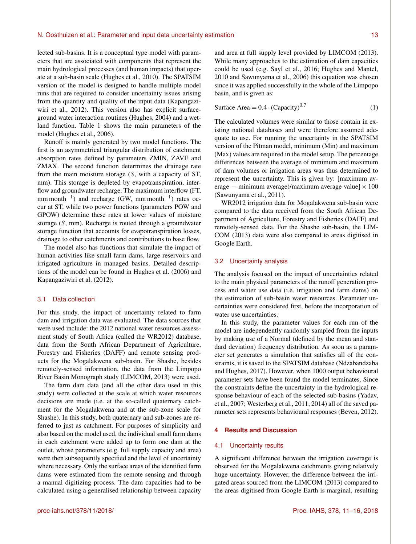#### N. Oosthuizen et al.: Parameter and input data uncertainty estimation 13

lected sub-basins. It is a conceptual type model with parameters that are associated with components that represent the main hydrological processes (and human impacts) that operate at a sub-basin scale (Hughes et al., 2010). The SPATSIM version of the model is designed to handle multiple model runs that are required to consider uncertainty issues arising from the quantity and quality of the input data (Kapangaziwiri et al., 2012). This version also has explicit surfaceground water interaction routines (Hughes, 2004) and a wetland function. Table 1 shows the main parameters of the model (Hughes et al., 2006).

Runoff is mainly generated by two model functions. The first is an asymmetrical triangular distribution of catchment absorption rates defined by parameters ZMIN, ZAVE and ZMAX. The second function determines the drainage rate from the main moisture storage (S, with a capacity of ST, mm). This storage is depleted by evapotranspiration, interflow and groundwater recharge. The maximum interflow (FT, mm month<sup>-1</sup>) and recharge (GW, mm month<sup>-1</sup>) rates occur at ST, while two power functions (parameters POW and GPOW) determine these rates at lower values of moisture storage (S, mm). Recharge is routed through a groundwater storage function that accounts for evapotranspiration losses, drainage to other catchments and contributions to base flow.

The model also has functions that simulate the impact of human activities like small farm dams, large reservoirs and irrigated agriculture in managed basins. Detailed descriptions of the model can be found in Hughes et al. (2006) and Kapangaziwiri et al. (2012).

### 3.1 Data collection

For this study, the impact of uncertainty related to farm dam and irrigation data was evaluated. The data sources that were used include: the 2012 national water resources assessment study of South Africa (called the WR2012) database, data from the South African Department of Agriculture, Forestry and Fisheries (DAFF) and remote sensing products for the Mogalakwena sub-basin. For Shashe, besides remotely-sensed information, the data from the Limpopo River Basin Monograph study (LIMCOM, 2013) were used.

The farm dam data (and all the other data used in this study) were collected at the scale at which water resources decisions are made (i.e. at the so-called quaternary catchment for the Mogalakwena and at the sub-zone scale for Shashe). In this study, both quaternary and sub-zones are referred to just as catchment. For purposes of simplicity and also based on the model used, the individual small farm dams in each catchment were added up to form one dam at the outlet, whose parameters (e.g. full supply capacity and area) were then subsequently specified and the level of uncertainty where necessary. Only the surface areas of the identified farm dams were estimated from the remote sensing and through a manual digitizing process. The dam capacities had to be calculated using a generalised relationship between capacity and area at full supply level provided by LIMCOM (2013). While many approaches to the estimation of dam capacities could be used (e.g. Sayl et al., 2016; Hughes and Mantel, 2010 and Sawunyama et al., 2006) this equation was chosen since it was applied successfully in the whole of the Limpopo basin, and is given as:

Surface Area = 
$$
0.4 \cdot (Capacity)^{0.7}
$$
 (1)

The calculated volumes were similar to those contain in existing national databases and were therefore assumed adequate to use. For running the uncertainty in the SPATSIM version of the Pitman model, minimum (Min) and maximum (Max) values are required in the model setup. The percentage differences between the average of minimum and maximum of dam volumes or irrigation areas was thus determined to represent the uncertainty. This is given by: [maximum average – minimum average)/maximum average value]  $\times 100$ (Sawunyama et al., 2011).

WR2012 irrigation data for Mogalakwena sub-basin were compared to the data received from the South African Department of Agriculture, Forestry and Fisheries (DAFF) and remotely-sensed data. For the Shashe sub-basin, the LIM-COM (2013) data were also compared to areas digitised in Google Earth.

### 3.2 Uncertainty analysis

The analysis focused on the impact of uncertainties related to the main physical parameters of the runoff generation process and water use data (i.e. irrigation and farm dams) on the estimation of sub-basin water resources. Parameter uncertainties were considered first, before the incorporation of water use uncertainties.

In this study, the parameter values for each run of the model are independently randomly sampled from the inputs by making use of a Normal (defined by the mean and standard deviation) frequency distribution. As soon as a parameter set generates a simulation that satisfies all of the constraints, it is saved to the SPATSIM database (Ndzabandzaba and Hughes, 2017). However, when 1000 output behavioural parameter sets have been found the model terminates. Since the constraints define the uncertainty in the hydrological response behaviour of each of the selected sub-basins (Yadav, et al., 2007; Westerberg et al., 2011, 2014) all of the saved parameter sets represents behavioural responses (Beven, 2012).

#### **4 Results and Discussion**

#### 4.1 Uncertainty results

A significant difference between the irrigation coverage is observed for the Mogalakwena catchments giving relatively huge uncertainty. However, the difference between the irrigated areas sourced from the LIMCOM (2013) compared to the areas digitised from Google Earth is marginal, resulting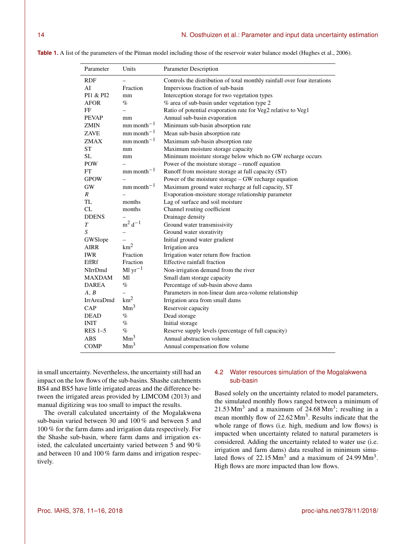**Table 1.** A list of the parameters of the Pitman model including those of the reservoir water balance model (Hughes et al., 2006).

| Parameter         | Units                     | Parameter Description                                                    |
|-------------------|---------------------------|--------------------------------------------------------------------------|
| <b>RDF</b>        |                           | Controls the distribution of total monthly rainfall over four iterations |
| AI                | Fraction                  | Impervious fraction of sub-basin                                         |
| PI1 & PI2         | mm                        | Interception storage for two vegetation types                            |
| <b>AFOR</b>       | $\%$                      | % area of sub-basin under vegetation type 2                              |
| FF                |                           | Ratio of potential evaporation rate for Veg2 relative to Veg1            |
| <b>PEVAP</b>      | mm                        | Annual sub-basin evaporation                                             |
| <b>ZMIN</b>       | $mm$ month <sup>-1</sup>  | Minimum sub-basin absorption rate                                        |
| ZAVE              | $mm$ mm $-1$              | Mean sub-basin absorption rate                                           |
| ZMAX              | $mm$ month <sup>-1</sup>  | Maximum sub-basin absorption rate                                        |
| <b>ST</b>         | mm                        | Maximum moisture storage capacity                                        |
| SL                | mm                        | Minimum moisture storage below which no GW recharge occurs               |
| <b>POW</b>        |                           | Power of the moisture storage – runoff equation                          |
| FT                | $mm$ month <sup>-1</sup>  | Runoff from moisture storage at full capacity (ST)                       |
| <b>GPOW</b>       |                           | Power of the moisture storage – GW recharge equation                     |
| <b>GW</b>         | $mm$ month $^{-1}$        | Maximum ground water recharge at full capacity, ST                       |
| $\boldsymbol{R}$  |                           | Evaporation-moisture storage relationship parameter                      |
| TL                | months                    | Lag of surface and soil moisture                                         |
| CL                | months                    | Channel routing coefficient                                              |
| <b>DDENS</b>      |                           | Drainage density                                                         |
| $\boldsymbol{T}$  | $m^2 d^{-1}$              | Ground water transmissivity                                              |
| S                 |                           | Ground water storativity                                                 |
| GWSlope           |                           | Initial ground water gradient                                            |
| <b>AIRR</b>       | km <sup>2</sup>           | Irrigation area                                                          |
| <b>IWR</b>        | Fraction                  | Irrigation water return flow fraction                                    |
| EffRf             | Fraction                  | Effective rainfall fraction                                              |
| NIrrDmd           | $\mathrm{M}$ l yr $^{-1}$ | Non-irrigation demand from the river                                     |
| <b>MAXDAM</b>     | Ml                        | Small dam storage capacity                                               |
| <b>DAREA</b>      | $\%$                      | Percentage of sub-basin above dams                                       |
| A, B              |                           | Parameters in non-linear dam area-volume relationship                    |
| <b>IrrAreaDmd</b> | km <sup>2</sup>           | Irrigation area from small dams                                          |
| CAP               | Mm <sup>3</sup>           | Reservoir capacity                                                       |
| <b>DEAD</b>       | $\%$                      | Dead storage                                                             |
| INIT              | $\%$                      | Initial storage                                                          |
| $RES$ 1-5         | $\%$                      | Reserve supply levels (percentage of full capacity)                      |
| <b>ABS</b>        | Mm <sup>3</sup>           | Annual abstraction volume                                                |
| <b>COMP</b>       | Mm <sup>3</sup>           | Annual compensation flow volume                                          |

in small uncertainty. Nevertheless, the uncertainty still had an impact on the low flows of the sub-basins. Shashe catchments BS4 and BS5 have little irrigated areas and the difference between the irrigated areas provided by LIMCOM (2013) and manual digitizing was too small to impact the results.

The overall calculated uncertainty of the Mogalakwena sub-basin varied between 30 and 100 % and between 5 and 100 % for the farm dams and irrigation data respectively. For the Shashe sub-basin, where farm dams and irrigation existed, the calculated uncertainty varied between 5 and 90 % and between 10 and 100 % farm dams and irrigation respectively.

# 4.2 Water resources simulation of the Mogalakwena sub-basin

Based solely on the uncertainty related to model parameters, the simulated monthly flows ranged between a minimum of  $21.53$  Mm<sup>3</sup> and a maximum of  $24.68$  Mm<sup>3</sup>; resulting in a mean monthly flow of 22.62 Mm<sup>3</sup>. Results indicate that the whole range of flows (i.e. high, medium and low flows) is impacted when uncertainty related to natural parameters is considered. Adding the uncertainty related to water use (i.e. irrigation and farm dams) data resulted in minimum simulated flows of  $22.15 \text{ Mm}^3$  and a maximum of  $24.99 \text{ Mm}^3$ . High flows are more impacted than low flows.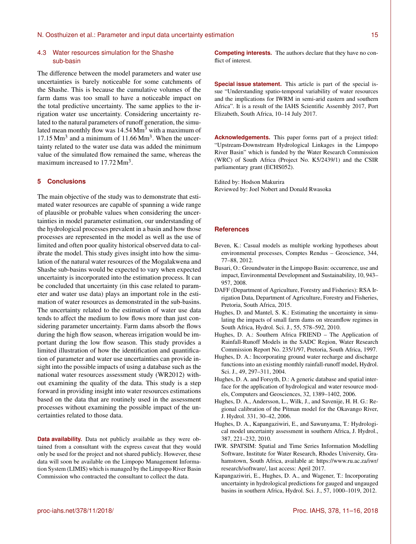#### N. Oosthuizen et al.: Parameter and input data uncertainty estimation 15

## 4.3 Water resources simulation for the Shashe sub-basin

The difference between the model parameters and water use uncertainties is barely noticeable for some catchments of the Shashe. This is because the cumulative volumes of the farm dams was too small to have a noticeable impact on the total predictive uncertainty. The same applies to the irrigation water use uncertainty. Considering uncertainty related to the natural parameters of runoff generation, the simulated mean monthly flow was  $14.54 \text{ Mm}^3$  with a maximum of  $17.15 \text{ Mm}^3$  and a minimum of  $11.66 \text{ Mm}^3$ . When the uncertainty related to the water use data was added the minimum value of the simulated flow remained the same, whereas the maximum increased to  $17.72 \text{ Mm}^3$ .

# **5 Conclusions**

The main objective of the study was to demonstrate that estimated water resources are capable of spanning a wide range of plausible or probable values when considering the uncertainties in model parameter estimation, our understanding of the hydrological processes prevalent in a basin and how those processes are represented in the model as well as the use of limited and often poor quality historical observed data to calibrate the model. This study gives insight into how the simulation of the natural water resources of the Mogalakwena and Shashe sub-basins would be expected to vary when expected uncertainty is incorporated into the estimation process. It can be concluded that uncertainty (in this case related to parameter and water use data) plays an important role in the estimation of water resources as demonstrated in the sub-basins. The uncertainty related to the estimation of water use data tends to affect the medium to low flows more than just considering parameter uncertainty. Farm dams absorb the flows during the high flow season, whereas irrigation would be important during the low flow season. This study provides a limited illustration of how the identification and quantification of parameter and water use uncertainties can provide insight into the possible impacts of using a database such as the national water resources assessment study (WR2012) without examining the quality of the data. This study is a step forward in providing insight into water resources estimations based on the data that are routinely used in the assessment processes without examining the possible impact of the uncertainties related to those data.

**Data availability.** Data not publicly available as they were obtained from a consultant with the express caveat that they would only be used for the project and not shared publicly. However, these data will soon be available on the Limpopo Management Information System (LIMIS) which is managed by the Limpopo River Basin Commission who contracted the consultant to collect the data.

**Competing interests.** The authors declare that they have no conflict of interest.

**Special issue statement.** This article is part of the special issue "Understanding spatio-temporal variability of water resources and the implications for IWRM in semi-arid eastern and southern Africa". It is a result of the IAHS Scientific Assembly 2017, Port Elizabeth, South Africa, 10–14 July 2017.

**Acknowledgements.** This paper forms part of a project titled: "Upstream-Downstream Hydrological Linkages in the Limpopo River Basin" which is funded by the Water Research Commission (WRC) of South Africa (Project No. K5/2439/1) and the CSIR parliamentary grant (ECHS052).

Edited by: Hodson Makurira Reviewed by: Joel Nobert and Donald Rwasoka

# **References**

- Beven, K.: Casual models as multiple working hypotheses about environmental processes, Comptes Rendus – Geoscience, 344, 77–88, 2012.
- Busari, O.: Groundwater in the Limpopo Basin: occurrence, use and impact, Environmental Development and Sustainability, 10, 943– 957, 2008.
- DAFF (Department of Agriculture, Forestry and Fisheries): RSA Irrigation Data, Department of Agriculture, Forestry and Fisheries, Pretoria, South Africa, 2015.
- Hughes, D. and Mantel, S. K.: Estimating the uncertainty in simulating the impacts of small farm dams on streamflow regimes in South Africa, Hydrol. Sci. J., 55, 578–592, 2010.
- Hughes, D. A.: Southern Africa FRIEND The Application of Rainfall-Runoff Models in the SADC Region, Water Research Commission Report No. 235/1/97, Pretoria, South Africa, 1997.
- Hughes, D. A.: Incorporating ground water recharge and discharge functions into an existing monthly rainfall-runoff model, Hydrol. Sci. J., 49, 297–311, 2004.
- Hughes, D. A. and Forsyth, D.: A generic database and spatial interface for the application of hydrological and water resource models, Computers and Geosciences, 32, 1389–1402, 2006.
- Hughes, D. A., Andersson, L., Wilk, J., and Savenije, H. H. G.: Regional calibration of the Pitman model for the Okavango River, J. Hydrol. 331, 30–42, 2006.
- Hughes, D. A., Kapangaziwiri, E., and Sawunyama, T.: Hydrological model uncertainty assessment in southern Africa, J. Hydrol., 387, 221–232, 2010.
- IWR. SPATSIM: Spatial and Time Series Information Modelling Software, Institute for Water Research, Rhodes University, Grahamstown, South Africa, available at: [https://www.ru.ac.za/iwr/](https://www.ru.ac.za/iwr/research/software/) [research/software/,](https://www.ru.ac.za/iwr/research/software/) last access: April 2017.
- Kapangaziwiri, E., Hughes, D. A., and Wagener, T.: Incorporating uncertainty in hydrological predictions for gauged and ungauged basins in southern Africa, Hydrol. Sci. J., 57, 1000–1019, 2012.